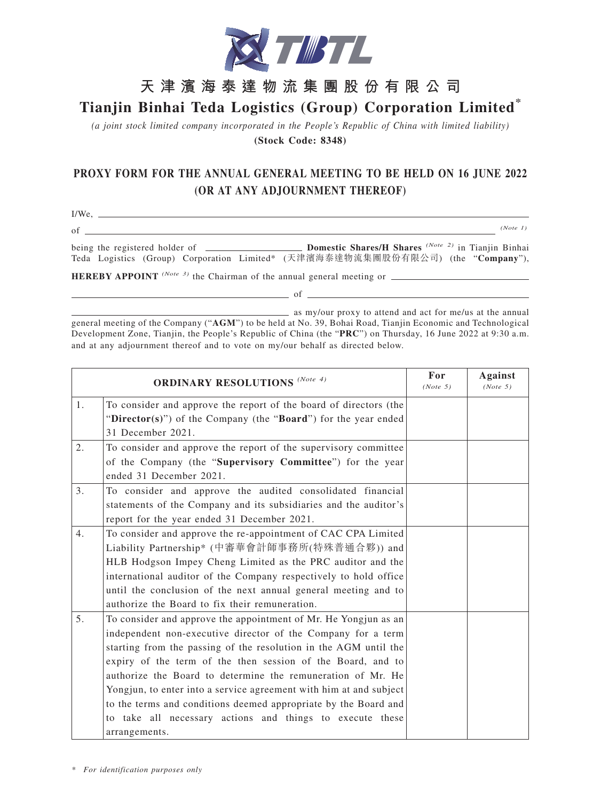

## **天津濱海泰達物流集團股份有限公司**

## **Tianjin Binhai Teda Logistics (Group) Corporation Limited\***

*(a joint stock limited company incorporated in the People's Republic of China with limited liability)* **(Stock Code: 8348)**

## **PROXY FORM FOR THE ANNUAL GENERAL MEETING TO BE HELD ON 16 JUNE 2022 (OR AT ANY ADJOURNMENT THEREOF)**

I/We,

of *(Note 1)* being the registered holder of **Domestic Shares/H Shares** *(Note 2)* in Tianjin Binhai Teda Logistics (Group) Corporation Limited\* (天津濱海泰達物流集團股份有限公司) (the "**Company**"), **HEREBY APPOINT** *(Note 3)* the Chairman of the annual general meeting or

as my/our proxy to attend and act for me/us at the annual general meeting of the Company ("**AGM**") to be held at No. 39, Bohai Road, Tianjin Economic and Technological Development Zone, Tianjin, the People's Republic of China (the "**PRC**") on Thursday, 16 June 2022 at 9:30 a.m. and at any adjournment thereof and to vote on my/our behalf as directed below.

 $\overline{\phantom{a}}$  of  $\overline{\phantom{a}}$ 

| <b>ORDINARY RESOLUTIONS</b> (Note 4) |                                                                    | For<br>(Note 5) | <b>Against</b><br>(Note 5) |
|--------------------------------------|--------------------------------------------------------------------|-----------------|----------------------------|
| 1 <sub>1</sub>                       | To consider and approve the report of the board of directors (the  |                 |                            |
|                                      | "Director(s)") of the Company (the "Board") for the year ended     |                 |                            |
|                                      | 31 December 2021.                                                  |                 |                            |
| 2.                                   | To consider and approve the report of the supervisory committee    |                 |                            |
|                                      | of the Company (the "Supervisory Committee") for the year          |                 |                            |
|                                      | ended 31 December 2021.                                            |                 |                            |
| 3.                                   | To consider and approve the audited consolidated financial         |                 |                            |
|                                      | statements of the Company and its subsidiaries and the auditor's   |                 |                            |
|                                      | report for the year ended 31 December 2021.                        |                 |                            |
| 4.                                   | To consider and approve the re-appointment of CAC CPA Limited      |                 |                            |
|                                      | Liability Partnership* (中審華會計師事務所(特殊普通合夥)) and                     |                 |                            |
|                                      | HLB Hodgson Impey Cheng Limited as the PRC auditor and the         |                 |                            |
|                                      | international auditor of the Company respectively to hold office   |                 |                            |
|                                      | until the conclusion of the next annual general meeting and to     |                 |                            |
|                                      | authorize the Board to fix their remuneration.                     |                 |                            |
| 5.                                   | To consider and approve the appointment of Mr. He Yongjun as an    |                 |                            |
|                                      | independent non-executive director of the Company for a term       |                 |                            |
|                                      | starting from the passing of the resolution in the AGM until the   |                 |                            |
|                                      | expiry of the term of the then session of the Board, and to        |                 |                            |
|                                      | authorize the Board to determine the remuneration of Mr. He        |                 |                            |
|                                      | Yongjun, to enter into a service agreement with him at and subject |                 |                            |
|                                      | to the terms and conditions deemed appropriate by the Board and    |                 |                            |
|                                      | to take all necessary actions and things to execute these          |                 |                            |
|                                      | arrangements.                                                      |                 |                            |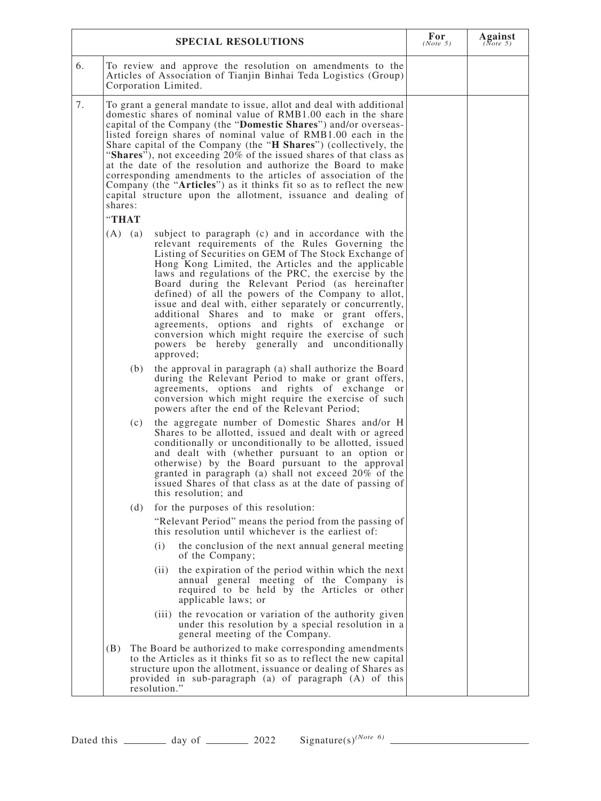|                                         | For<br>(Note 5)                                                                                                                                                                                                                                                                                                                                                                                                                                                                                                                                                                                                                                                                                                                                                                                                                                                                                                                                                                                                                                                                                                                                                                                                                                                                                                                                                                                                                                                                                                                                                                                                                                                                                                                                                                                                                                                                                                                                                                                                                                                                                                                                                                                                                                 | Against<br>( $\frac{1}{(Note 5)}$ |  |
|-----------------------------------------|-------------------------------------------------------------------------------------------------------------------------------------------------------------------------------------------------------------------------------------------------------------------------------------------------------------------------------------------------------------------------------------------------------------------------------------------------------------------------------------------------------------------------------------------------------------------------------------------------------------------------------------------------------------------------------------------------------------------------------------------------------------------------------------------------------------------------------------------------------------------------------------------------------------------------------------------------------------------------------------------------------------------------------------------------------------------------------------------------------------------------------------------------------------------------------------------------------------------------------------------------------------------------------------------------------------------------------------------------------------------------------------------------------------------------------------------------------------------------------------------------------------------------------------------------------------------------------------------------------------------------------------------------------------------------------------------------------------------------------------------------------------------------------------------------------------------------------------------------------------------------------------------------------------------------------------------------------------------------------------------------------------------------------------------------------------------------------------------------------------------------------------------------------------------------------------------------------------------------------------------------|-----------------------------------|--|
| 6.                                      | To review and approve the resolution on amendments to the<br>Articles of Association of Tianjin Binhai Teda Logistics (Group)<br>Corporation Limited.                                                                                                                                                                                                                                                                                                                                                                                                                                                                                                                                                                                                                                                                                                                                                                                                                                                                                                                                                                                                                                                                                                                                                                                                                                                                                                                                                                                                                                                                                                                                                                                                                                                                                                                                                                                                                                                                                                                                                                                                                                                                                           |                                   |  |
| 7.<br>shares:<br>"THAT                  | To grant a general mandate to issue, allot and deal with additional<br>domestic shares of nominal value of RMB1.00 each in the share<br>capital of the Company (the "Domestic Shares") and/or overseas-<br>listed foreign shares of nominal value of RMB1.00 each in the<br>Share capital of the Company (the "H Shares") (collectively, the<br>"Shares"), not exceeding $20\%$ of the issued shares of that class as<br>at the date of the resolution and authorize the Board to make<br>corresponding amendments to the articles of association of the<br>Company (the "Articles") as it thinks fit so as to reflect the new<br>capital structure upon the allotment, issuance and dealing of                                                                                                                                                                                                                                                                                                                                                                                                                                                                                                                                                                                                                                                                                                                                                                                                                                                                                                                                                                                                                                                                                                                                                                                                                                                                                                                                                                                                                                                                                                                                                 |                                   |  |
| $(A)$ $(a)$<br>(b)<br>(c)<br>(d)<br>(B) | subject to paragraph (c) and in accordance with the<br>relevant requirements of the Rules Governing the<br>Listing of Securities on GEM of The Stock Exchange of<br>Hong Kong Limited, the Articles and the applicable<br>laws and regulations of the PRC, the exercise by the<br>Board during the Relevant Period (as hereinafter<br>defined) of all the powers of the Company to allot,<br>issue and deal with, either separately or concurrently,<br>additional Shares and to make or grant offers,<br>agreements, options and rights of exchange or<br>conversion which might require the exercise of such<br>powers be hereby generally and unconditionally<br>approved;<br>the approval in paragraph (a) shall authorize the Board<br>during the Relevant Period to make or grant offers,<br>agreements, options and rights of exchange or<br>conversion which might require the exercise of such<br>powers after the end of the Relevant Period;<br>the aggregate number of Domestic Shares and/or H<br>Shares to be allotted, issued and dealt with or agreed<br>conditionally or unconditionally to be allotted, issued<br>and dealt with (whether pursuant to an option or<br>otherwise) by the Board pursuant to the approval<br>granted in paragraph (a) shall not exceed 20% of the<br>issued Shares of that class as at the date of passing of<br>this resolution; and<br>for the purposes of this resolution:<br>"Relevant Period" means the period from the passing of<br>this resolution until whichever is the earliest of:<br>(i)<br>the conclusion of the next annual general meeting<br>of the Company;<br>the expiration of the period within which the next<br>(ii)<br>annual general meeting of the Company is<br>required to be held by the Articles or other<br>applicable laws; or<br>(iii) the revocation or variation of the authority given<br>under this resolution by a special resolution in a<br>general meeting of the Company.<br>The Board be authorized to make corresponding amendments<br>to the Articles as it thinks fit so as to reflect the new capital<br>structure upon the allotment, issuance or dealing of Shares as<br>provided in sub-paragraph (a) of paragraph (A) of this<br>resolution." |                                   |  |

| Dated this | day of |  |
|------------|--------|--|
|------------|--------|--|